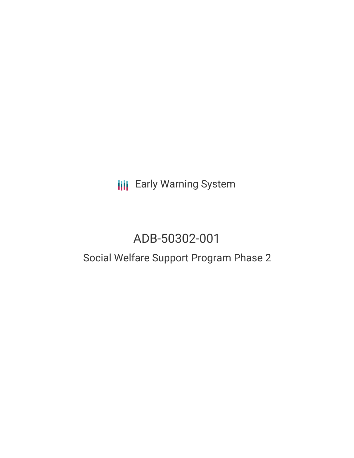**III** Early Warning System

# ADB-50302-001

## Social Welfare Support Program Phase 2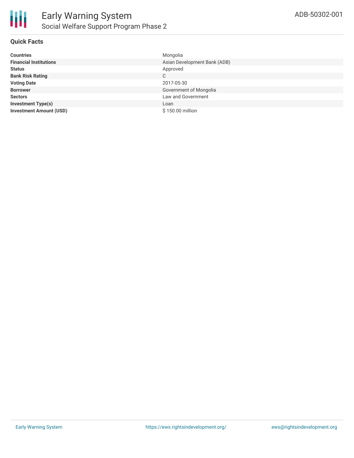

#### **Quick Facts**

| <b>Countries</b>               | Mongolia                     |
|--------------------------------|------------------------------|
| <b>Financial Institutions</b>  | Asian Development Bank (ADB) |
| <b>Status</b>                  | Approved                     |
| <b>Bank Risk Rating</b>        | C                            |
| <b>Voting Date</b>             | 2017-05-30                   |
| <b>Borrower</b>                | Government of Mongolia       |
| <b>Sectors</b>                 | Law and Government           |
| <b>Investment Type(s)</b>      | Loan                         |
| <b>Investment Amount (USD)</b> | \$150,00 million             |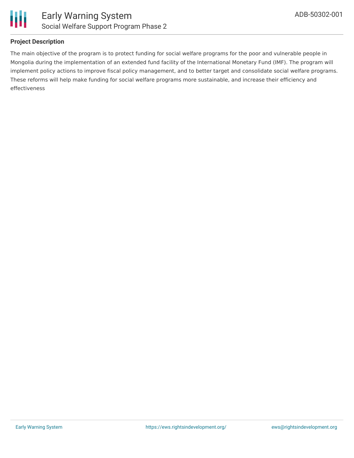

#### **Project Description**

The main objective of the program is to protect funding for social welfare programs for the poor and vulnerable people in Mongolia during the implementation of an extended fund facility of the International Monetary Fund (IMF). The program will implement policy actions to improve fiscal policy management, and to better target and consolidate social welfare programs. These reforms will help make funding for social welfare programs more sustainable, and increase their efficiency and effectiveness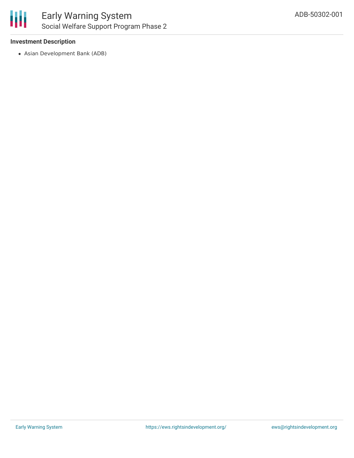

#### **Investment Description**

Asian Development Bank (ADB)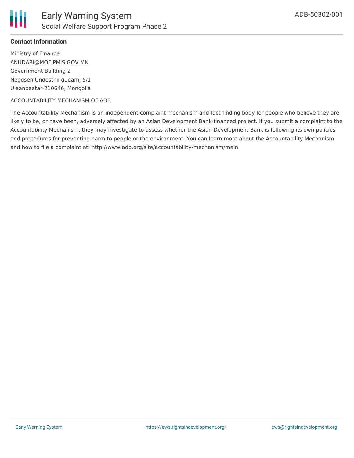

#### **Contact Information**

Ministry of Finance ANUDARI@MOF.PMIS.GOV.MN Government Building-2 Negdsen Undestnii gudamj-5/1 Ulaanbaatar-210646, Mongolia

#### ACCOUNTABILITY MECHANISM OF ADB

The Accountability Mechanism is an independent complaint mechanism and fact-finding body for people who believe they are likely to be, or have been, adversely affected by an Asian Development Bank-financed project. If you submit a complaint to the Accountability Mechanism, they may investigate to assess whether the Asian Development Bank is following its own policies and procedures for preventing harm to people or the environment. You can learn more about the Accountability Mechanism and how to file a complaint at: http://www.adb.org/site/accountability-mechanism/main